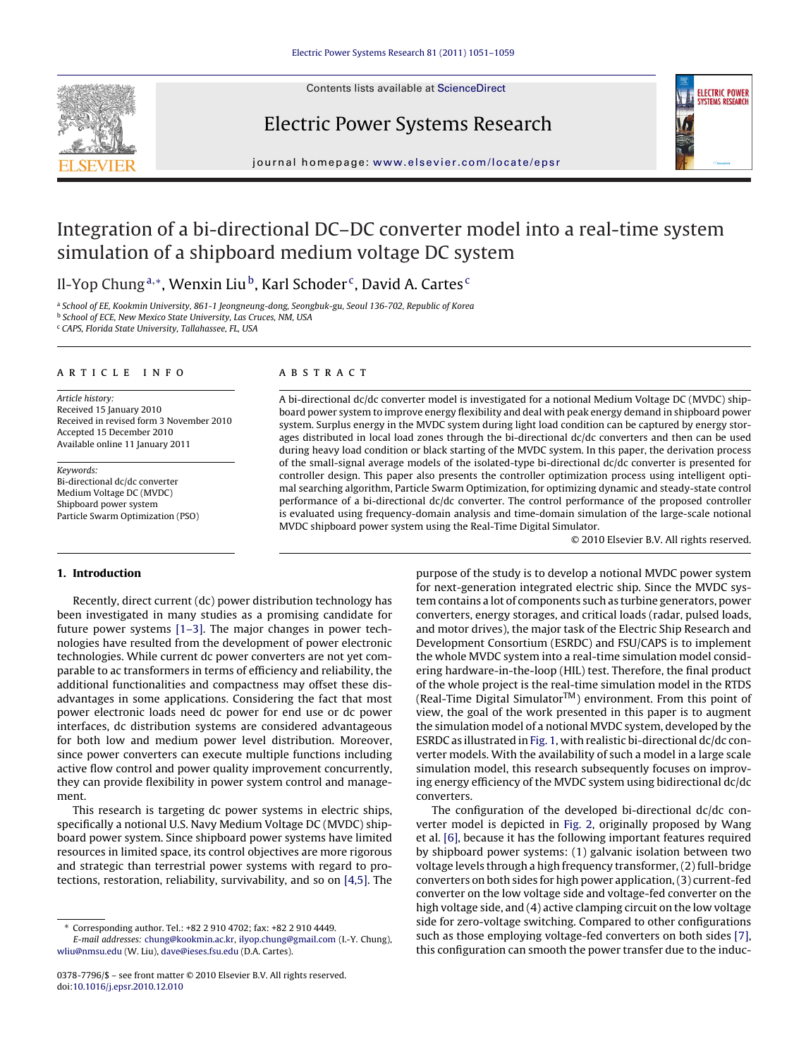

Contents lists available at [ScienceDirect](http://www.sciencedirect.com/science/journal/03787796)

### Electric Power Systems Research



journal homepage: [www.elsevier.com/locate/epsr](http://www.elsevier.com/locate/epsr)

## Integration of a bi-directional DC–DC converter model into a real-time system simulation of a shipboard medium voltage DC system

Il-Yop Chung<sup>a,∗</sup>, Wenxin Liu<sup>b</sup>, Karl Schoder<sup>c</sup>, David A. Cartes<sup>c</sup>

a School of EE, Kookmin University, 861-1 Jeongneung-dong, Seongbuk-gu, Seoul 136-702, Republic of Korea **b** School of ECE, New Mexico State University, Las Cruces, NM, USA

<sup>c</sup> CAPS, Florida State University, Tallahassee, FL, USA

#### article info

Article history: Received 15 January 2010 Received in revised form 3 November 2010 Accepted 15 December 2010 Available online 11 January 2011

Keywords: Bi-directional dc/dc converter Medium Voltage DC (MVDC) Shipboard power system Particle Swarm Optimization (PSO)

#### **1. Introduction**

Recently, direct current (dc) power distribution technology has been investigated in many studies as a promising candidate for future power systems [\[1–3\].](#page--1-0) The major changes in power technologies have resulted from the development of power electronic technologies. While current dc power converters are not yet comparable to ac transformers in terms of efficiency and reliability, the additional functionalities and compactness may offset these disadvantages in some applications. Considering the fact that most power electronic loads need dc power for end use or dc power interfaces, dc distribution systems are considered advantageous for both low and medium power level distribution. Moreover, since power converters can execute multiple functions including active flow control and power quality improvement concurrently, they can provide flexibility in power system control and management.

This research is targeting dc power systems in electric ships, specifically a notional U.S. Navy Medium Voltage DC (MVDC) shipboard power system. Since shipboard power systems have limited resources in limited space, its control objectives are more rigorous and strategic than terrestrial power systems with regard to protections, restoration, reliability, survivability, and so on [\[4,5\]. T](#page--1-0)he

#### ABSTRACT

A bi-directional dc/dc converter model is investigated for a notional Medium Voltage DC (MVDC) shipboard power system to improve energy flexibility and deal with peak energy demand in shipboard power system. Surplus energy in the MVDC system during light load condition can be captured by energy storages distributed in local load zones through the bi-directional dc/dc converters and then can be used during heavy load condition or black starting of the MVDC system. In this paper, the derivation process of the small-signal average models of the isolated-type bi-directional dc/dc converter is presented for controller design. This paper also presents the controller optimization process using intelligent optimal searching algorithm, Particle Swarm Optimization, for optimizing dynamic and steady-state control performance of a bi-directional dc/dc converter. The control performance of the proposed controller is evaluated using frequency-domain analysis and time-domain simulation of the large-scale notional MVDC shipboard power system using the Real-Time Digital Simulator.

© 2010 Elsevier B.V. All rights reserved.

purpose of the study is to develop a notional MVDC power system for next-generation integrated electric ship. Since the MVDC system contains a lot of components such as turbine generators, power converters, energy storages, and critical loads (radar, pulsed loads, and motor drives), the major task of the Electric Ship Research and Development Consortium (ESRDC) and FSU/CAPS is to implement the whole MVDC system into a real-time simulation model considering hardware-in-the-loop (HIL) test. Therefore, the final product of the whole project is the real-time simulation model in the RTDS (Real-Time Digital Simulator $TM$ ) environment. From this point of view, the goal of the work presented in this paper is to augment the simulation model of a notional MVDC system, developed by the ESRDC as illustrated in [Fig. 1, w](#page-1-0)ith realistic bi-directional dc/dc converter models. With the availability of such a model in a large scale simulation model, this research subsequently focuses on improving energy efficiency of the MVDC system using bidirectional dc/dc converters.

The configuration of the developed bi-directional dc/dc converter model is depicted in [Fig. 2,](#page-1-0) originally proposed by Wang et al. [\[6\], b](#page--1-0)ecause it has the following important features required by shipboard power systems: (1) galvanic isolation between two voltage levels through a high frequency transformer, (2) full-bridge converters on both sides for high power application, (3) current-fed converter on the low voltage side and voltage-fed converter on the high voltage side, and (4) active clamping circuit on the low voltage side for zero-voltage switching. Compared to other configurations such as those employing voltage-fed converters on both sides [\[7\],](#page--1-0) this configuration can smooth the power transfer due to the induc-

<sup>∗</sup> Corresponding author. Tel.: +82 2 910 4702; fax: +82 2 910 4449.

E-mail addresses: [chung@kookmin.ac.kr,](mailto:chung@kookmin.ac.kr) [ilyop.chung@gmail.com](mailto:ilyop.chung@gmail.com) (I.-Y. Chung), [wliu@nmsu.edu](mailto:wliu@nmsu.edu) (W. Liu), [dave@ieses.fsu.edu](mailto:dave@ieses.fsu.edu) (D.A. Cartes).

<sup>0378-7796/\$ –</sup> see front matter © 2010 Elsevier B.V. All rights reserved. doi:[10.1016/j.epsr.2010.12.010](dx.doi.org/10.1016/j.epsr.2010.12.010)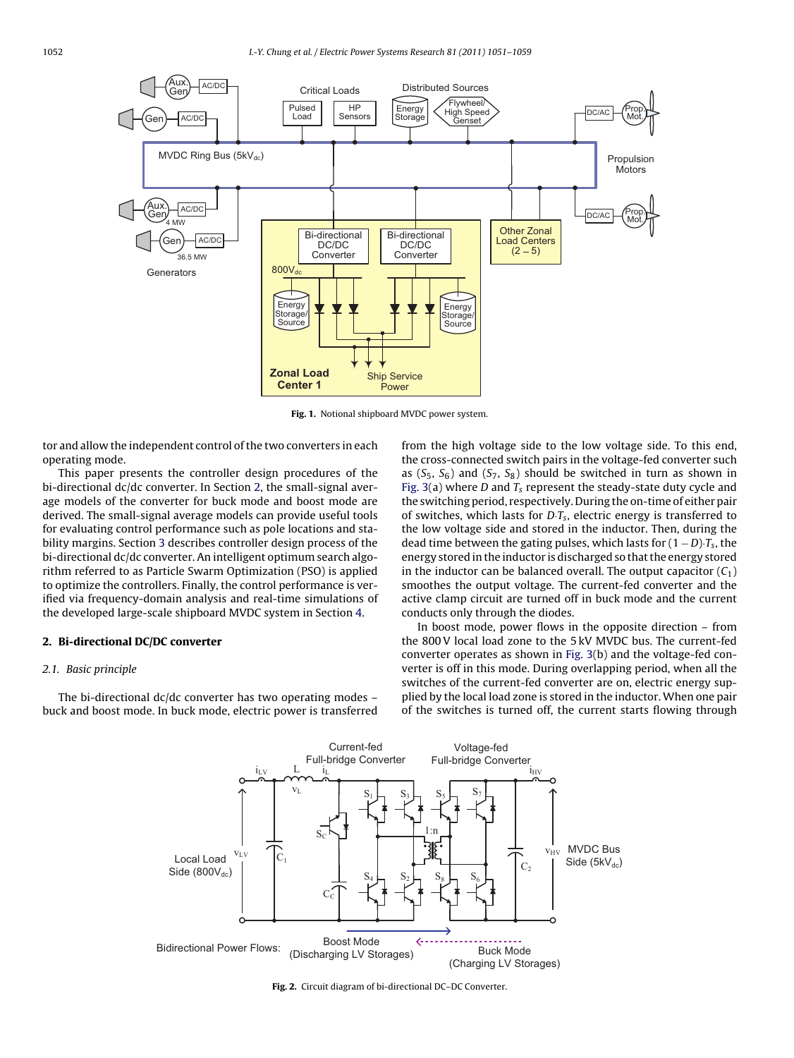<span id="page-1-0"></span>

**Fig. 1.** Notional shipboard MVDC power system.

tor and allow the independent control of the two converters in each operating mode.

This paper presents the controller design procedures of the bi-directional dc/dc converter. In Section 2, the small-signal average models of the converter for buck mode and boost mode are derived. The small-signal average models can provide useful tools for evaluating control performance such as pole locations and stability margins. Section [3](#page--1-0) describes controller design process of the bi-directional dc/dc converter. An intelligent optimum search algorithm referred to as Particle Swarm Optimization (PSO) is applied to optimize the controllers. Finally, the control performance is verified via frequency-domain analysis and real-time simulations of the developed large-scale shipboard MVDC system in Section [4.](#page--1-0)

#### **2. Bi-directional DC/DC converter**

#### 2.1. Basic principle

The bi-directional dc/dc converter has two operating modes – buck and boost mode. In buck mode, electric power is transferred from the high voltage side to the low voltage side. To this end, the cross-connected switch pairs in the voltage-fed converter such as  $(S_5, S_6)$  and  $(S_7, S_8)$  should be switched in turn as shown in [Fig. 3\(a](#page--1-0)) where D and  $T_s$  represent the steady-state duty cycle and the switching period, respectively. During the on-time of either pair of switches, which lasts for  $D \cdot T_s$ , electric energy is transferred to the low voltage side and stored in the inductor. Then, during the dead time between the gating pulses, which lasts for  $(1 - D)$ ·T<sub>s</sub>, the energy stored in the inductor is discharged so that the energy stored in the inductor can be balanced overall. The output capacitor  $(C_1)$ smoothes the output voltage. The current-fed converter and the active clamp circuit are turned off in buck mode and the current conducts only through the diodes.

In boost mode, power flows in the opposite direction – from the 800 V local load zone to the 5 kV MVDC bus. The current-fed converter operates as shown in [Fig. 3\(b](#page--1-0)) and the voltage-fed converter is off in this mode. During overlapping period, when all the switches of the current-fed converter are on, electric energy supplied by the local load zone is stored in the inductor. When one pair of the switches is turned off, the current starts flowing through



**Fig. 2.** Circuit diagram of bi-directional DC–DC Converter.